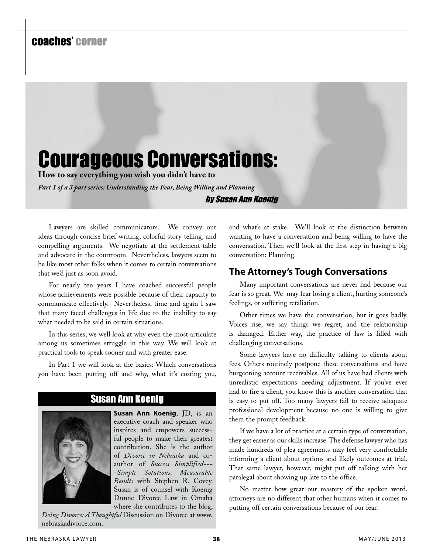# coaches' corner

# Courageous Conversations:

**How to say everything you wish you didn't have to**

*Part 1 of a 3 part series: Understanding the Fear, Being Willing and Planning* by Susan Ann Koenig

Lawyers are skilled communicators. We convey our ideas through concise brief writing, colorful story telling, and compelling arguments. We negotiate at the settlement table and advocate in the courtroom. Nevertheless, lawyers seem to be like most other folks when it comes to certain conversations that we'd just as soon avoid.

For nearly ten years I have coached successful people whose achievements were possible because of their capacity to communicate effectively. Nevertheless, time and again I saw that many faced challenges in life due to the inability to say what needed to be said in certain situations.

In this series, we well look at why even the most articulate among us sometimes struggle in this way. We will look at practical tools to speak sooner and with greater ease.

In Part 1 we will look at the basics: Which conversations you have been putting off and why, what it's costing you,

Susan Ann Koenig

**Susan Ann Koenig**, JD, is an executive coach and speaker who inspires and empowers successful people to make their greatest contribution. She is the author of *Divorce in Nebraska* and coauthor of *Success Simplified--- -Simple Solutions, Measurable Results* with Stephen R. Covey. Susan is of counsel with Koenig Dunne Divorce Law in Omaha where she contributes to the blog,

*Doing Divorce: A Thoughtful* Discussion on Divorce at www. nebraskadivorce.com.

and what's at stake. We'll look at the distinction between wanting to have a conversation and being willing to have the conversation. Then we'll look at the first step in having a big conversation: Planning.

# **The Attorney's Tough Conversations**

Many important conversations are never had because our fear is so great. We may fear losing a client, hurting someone's feelings, or suffering retaliation.

Other times we have the conversation, but it goes badly. Voices rise, we say things we regret, and the relationship is damaged. Either way, the practice of law is filled with challenging conversations.

Some lawyers have no difficulty talking to clients about fees. Others routinely postpone these conversations and have burgeoning account receivables. All of us have had clients with unrealistic expectations needing adjustment. If you've ever had to fire a client, you know this is another conversation that is easy to put off. Too many lawyers fail to receive adequate professional development because no one is willing to give them the prompt feedback.

If we have a lot of practice at a certain type of conversation, they get easier as our skills increase. The defense lawyer who has made hundreds of plea agreements may feel very comfortable informing a client about options and likely outcomes at trial. That same lawyer, however, might put off talking with her paralegal about showing up late to the office.

No matter how great our mastery of the spoken word, attorneys are no different that other humans when it comes to putting off certain conversations because of our fear.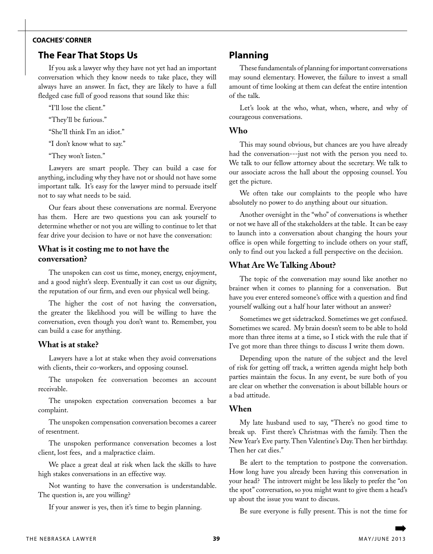# **coaches' corner**

# **The Fear That Stops Us**

If you ask a lawyer why they have not yet had an important conversation which they know needs to take place, they will always have an answer. In fact, they are likely to have a full fledged case full of good reasons that sound like this:

"I'll lose the client."

"They'll be furious."

"She'll think I'm an idiot."

"I don't know what to say."

"They won't listen."

Lawyers are smart people. They can build a case for anything, including why they have not or should not have some important talk. It's easy for the lawyer mind to persuade itself not to say what needs to be said.

Our fears about these conversations are normal. Everyone has them. Here are two questions you can ask yourself to determine whether or not you are willing to continue to let that fear drive your decision to have or not have the conversation:

# **What is it costing me to not have the conversation?**

The unspoken can cost us time, money, energy, enjoyment, and a good night's sleep. Eventually it can cost us our dignity, the reputation of our firm, and even our physical well being.

The higher the cost of not having the conversation, the greater the likelihood you will be willing to have the conversation, even though you don't want to. Remember, you can build a case for anything.

#### **What is at stake?**

Lawyers have a lot at stake when they avoid conversations with clients, their co-workers, and opposing counsel.

The unspoken fee conversation becomes an account receivable.

The unspoken expectation conversation becomes a bar complaint.

The unspoken compensation conversation becomes a career of resentment.

The unspoken performance conversation becomes a lost client, lost fees, and a malpractice claim.

We place a great deal at risk when lack the skills to have high stakes conversations in an effective way.

Not wanting to have the conversation is understandable. The question is, are you willing?

If your answer is yes, then it's time to begin planning.

# **Planning**

These fundamentals of planning for important conversations may sound elementary. However, the failure to invest a small amount of time looking at them can defeat the entire intention of the talk.

Let's look at the who, what, when, where, and why of courageous conversations.

#### **Who**

This may sound obvious, but chances are you have already had the conversation---just not with the person you need to. We talk to our fellow attorney about the secretary. We talk to our associate across the hall about the opposing counsel. You get the picture.

We often take our complaints to the people who have absolutely no power to do anything about our situation.

Another oversight in the "who" of conversations is whether or not we have all of the stakeholders at the table. It can be easy to launch into a conversation about changing the hours your office is open while forgetting to include others on your staff, only to find out you lacked a full perspective on the decision.

# **What Are We Talking About?**

The topic of the conversation may sound like another no brainer when it comes to planning for a conversation. But have you ever entered someone's office with a question and find yourself walking out a half hour later without an answer?

Sometimes we get sidetracked. Sometimes we get confused. Sometimes we scared. My brain doesn't seem to be able to hold more than three items at a time, so I stick with the rule that if I've got more than three things to discuss I write them down.

Depending upon the nature of the subject and the level of risk for getting off track, a written agenda might help both parties maintain the focus. In any event, be sure both of you are clear on whether the conversation is about billable hours or a bad attitude.

# **When**

My late husband used to say, "There's no good time to break up. First there's Christmas with the family. Then the New Year's Eve party. Then Valentine's Day. Then her birthday. Then her cat dies."

Be alert to the temptation to postpone the conversation. How long have you already been having this conversation in your head? The introvert might be less likely to prefer the "on the spot" conversation, so you might want to give them a head's up about the issue you want to discuss.

Be sure everyone is fully present. This is not the time for